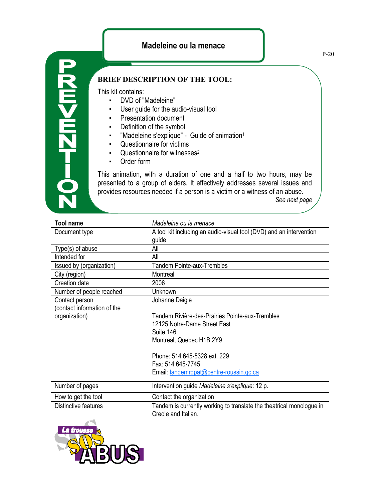## **Madeleine ou la menace**

P-20

## **BRIEF DESCRIPTION OF THE TOOL:**

This kit contains:

**D-7ZH<HZ** 

- DVD of "Madeleine"
- User guide for the audio-visual tool
- Presentation document
- Definition of the symbol
- "Madeleine s'explique" Guide of animation<sup>1</sup>
- Questionnaire for victims
- Questionnaire for witnesses<sup>2</sup>
- Order form

This animation, with a duration of one and a half to two hours, may be presented to a group of elders. It effectively addresses several issues and provides resources needed if a person is a victim or a witness of an abuse.

*See next page*

| <b>Tool name</b>            | Madeleine ou la menace                                                                      |
|-----------------------------|---------------------------------------------------------------------------------------------|
| Document type               | A tool kit including an audio-visual tool (DVD) and an intervention                         |
|                             | guide                                                                                       |
| Type(s) of abuse            | All                                                                                         |
| Intended for                | All                                                                                         |
| Issued by (organization)    | <b>Tandem Pointe-aux-Trembles</b>                                                           |
| City (region)               | Montreal                                                                                    |
| Creation date               | 2006                                                                                        |
| Number of people reached    | Unknown                                                                                     |
| Contact person              | Johanne Daigle                                                                              |
| (contact information of the |                                                                                             |
| organization)               | Tandem Rivière-des-Prairies Pointe-aux-Trembles                                             |
|                             | 12125 Notre-Dame Street East                                                                |
|                             | Suite 146                                                                                   |
|                             | Montreal, Quebec H1B 2Y9                                                                    |
|                             | Phone: 514 645-5328 ext. 229                                                                |
|                             | Fax: 514 645-7745                                                                           |
|                             | Email: tandemrdpat@centre-roussin.qc.ca                                                     |
| Number of pages             | Intervention guide Madeleine s'explique: 12 p.                                              |
| How to get the tool         | Contact the organization                                                                    |
| Distinctive features        | Tandem is currently working to translate the theatrical monologue in<br>Creole and Italian. |
| --                          |                                                                                             |